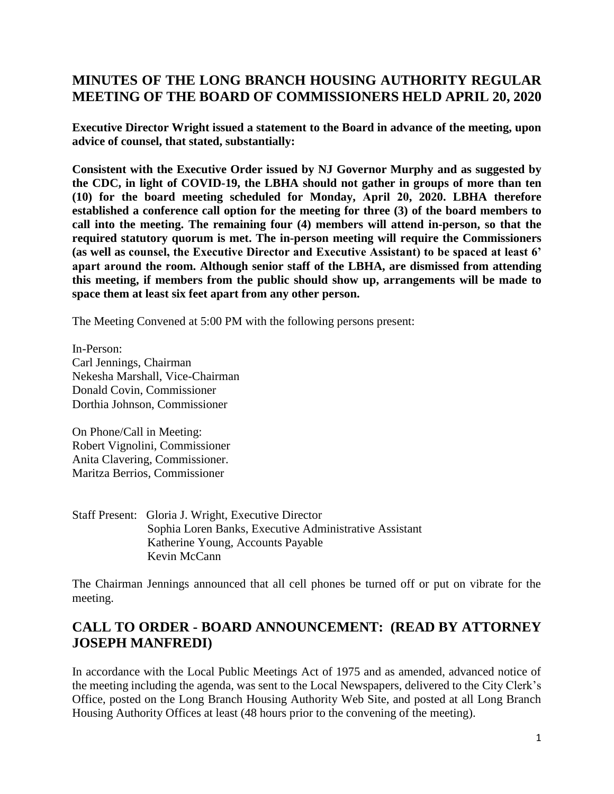## **MINUTES OF THE LONG BRANCH HOUSING AUTHORITY REGULAR MEETING OF THE BOARD OF COMMISSIONERS HELD APRIL 20, 2020**

**Executive Director Wright issued a statement to the Board in advance of the meeting, upon advice of counsel, that stated, substantially:** 

**Consistent with the Executive Order issued by NJ Governor Murphy and as suggested by the CDC, in light of COVID-19, the LBHA should not gather in groups of more than ten (10) for the board meeting scheduled for Monday, April 20, 2020. LBHA therefore established a conference call option for the meeting for three (3) of the board members to call into the meeting. The remaining four (4) members will attend in-person, so that the required statutory quorum is met. The in-person meeting will require the Commissioners (as well as counsel, the Executive Director and Executive Assistant) to be spaced at least 6' apart around the room. Although senior staff of the LBHA, are dismissed from attending this meeting, if members from the public should show up, arrangements will be made to space them at least six feet apart from any other person.** 

The Meeting Convened at 5:00 PM with the following persons present:

In-Person: Carl Jennings, Chairman Nekesha Marshall, Vice-Chairman Donald Covin, Commissioner Dorthia Johnson, Commissioner

On Phone/Call in Meeting: Robert Vignolini, Commissioner Anita Clavering, Commissioner. Maritza Berrios, Commissioner

Staff Present: Gloria J. Wright, Executive Director Sophia Loren Banks, Executive Administrative Assistant Katherine Young, Accounts Payable Kevin McCann

The Chairman Jennings announced that all cell phones be turned off or put on vibrate for the meeting.

# **CALL TO ORDER - BOARD ANNOUNCEMENT: (READ BY ATTORNEY JOSEPH MANFREDI)**

In accordance with the Local Public Meetings Act of 1975 and as amended, advanced notice of the meeting including the agenda, was sent to the Local Newspapers, delivered to the City Clerk's Office, posted on the Long Branch Housing Authority Web Site, and posted at all Long Branch Housing Authority Offices at least (48 hours prior to the convening of the meeting).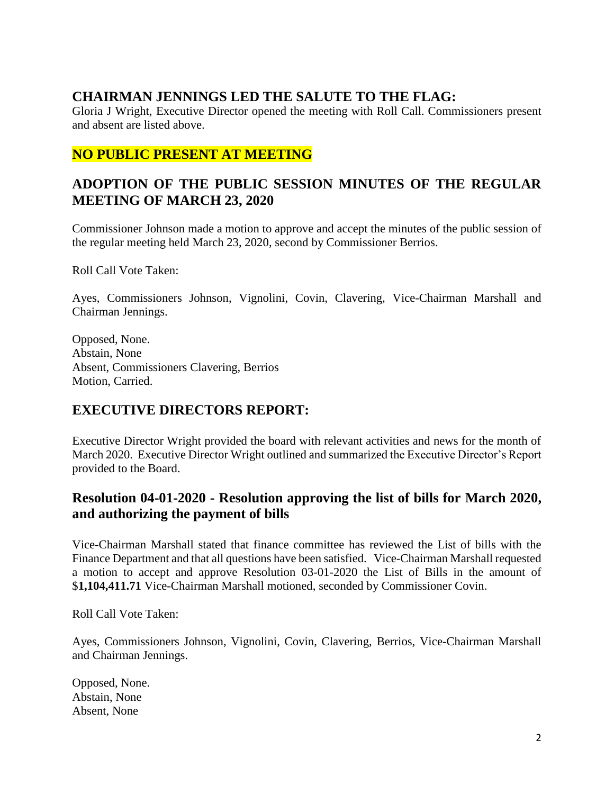## **CHAIRMAN JENNINGS LED THE SALUTE TO THE FLAG:**

Gloria J Wright, Executive Director opened the meeting with Roll Call. Commissioners present and absent are listed above.

# **NO PUBLIC PRESENT AT MEETING**

# **ADOPTION OF THE PUBLIC SESSION MINUTES OF THE REGULAR MEETING OF MARCH 23, 2020**

Commissioner Johnson made a motion to approve and accept the minutes of the public session of the regular meeting held March 23, 2020, second by Commissioner Berrios.

Roll Call Vote Taken:

Ayes, Commissioners Johnson, Vignolini, Covin, Clavering, Vice-Chairman Marshall and Chairman Jennings.

Opposed, None. Abstain, None Absent, Commissioners Clavering, Berrios Motion, Carried.

### **EXECUTIVE DIRECTORS REPORT:**

Executive Director Wright provided the board with relevant activities and news for the month of March 2020. Executive Director Wright outlined and summarized the Executive Director's Report provided to the Board.

## **Resolution 04-01-2020 - Resolution approving the list of bills for March 2020, and authorizing the payment of bills**

Vice-Chairman Marshall stated that finance committee has reviewed the List of bills with the Finance Department and that all questions have been satisfied. Vice-Chairman Marshall requested a motion to accept and approve Resolution 03-01-2020 the List of Bills in the amount of \$**1,104,411.71** Vice-Chairman Marshall motioned, seconded by Commissioner Covin.

Roll Call Vote Taken:

Ayes, Commissioners Johnson, Vignolini, Covin, Clavering, Berrios, Vice-Chairman Marshall and Chairman Jennings.

Opposed, None. Abstain, None Absent, None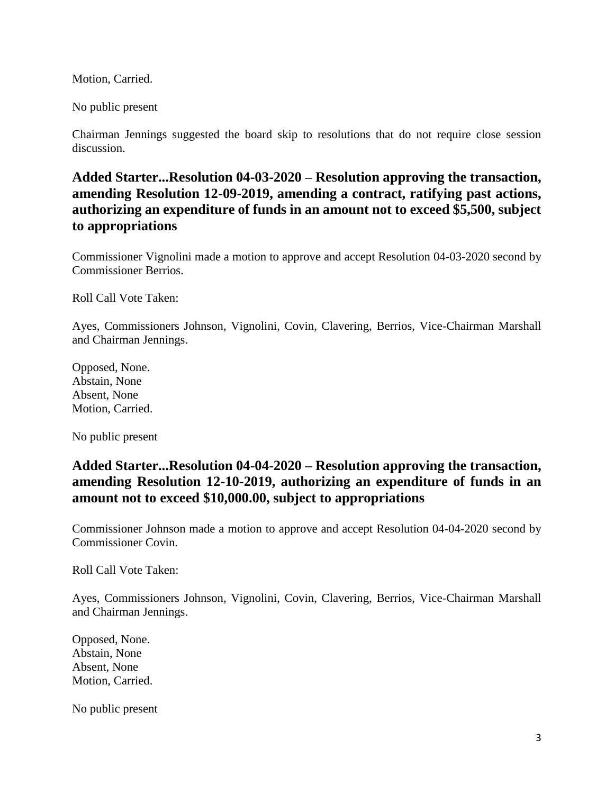Motion, Carried.

No public present

Chairman Jennings suggested the board skip to resolutions that do not require close session discussion.

**Added Starter...Resolution 04-03-2020 – Resolution approving the transaction, amending Resolution 12-09-2019, amending a contract, ratifying past actions, authorizing an expenditure of funds in an amount not to exceed \$5,500, subject to appropriations**

Commissioner Vignolini made a motion to approve and accept Resolution 04-03-2020 second by Commissioner Berrios.

Roll Call Vote Taken:

Ayes, Commissioners Johnson, Vignolini, Covin, Clavering, Berrios, Vice-Chairman Marshall and Chairman Jennings.

Opposed, None. Abstain, None Absent, None Motion, Carried.

No public present

### **Added Starter...Resolution 04-04-2020 – Resolution approving the transaction, amending Resolution 12-10-2019, authorizing an expenditure of funds in an amount not to exceed \$10,000.00, subject to appropriations**

Commissioner Johnson made a motion to approve and accept Resolution 04-04-2020 second by Commissioner Covin.

Roll Call Vote Taken:

Ayes, Commissioners Johnson, Vignolini, Covin, Clavering, Berrios, Vice-Chairman Marshall and Chairman Jennings.

Opposed, None. Abstain, None Absent, None Motion, Carried.

No public present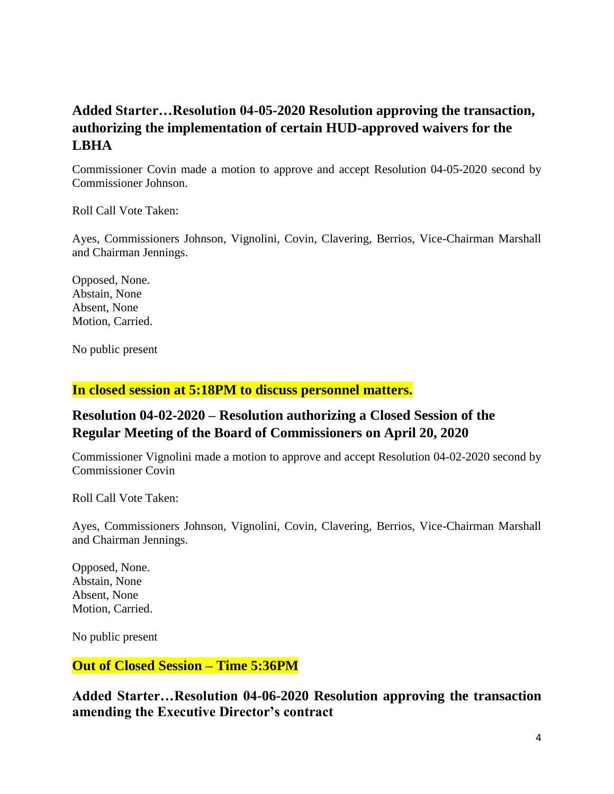# **Added Starter…Resolution 04-05-2020 Resolution approving the transaction, authorizing the implementation of certain HUD-approved waivers for the LBHA**

Commissioner Covin made a motion to approve and accept Resolution 04-05-2020 second by Commissioner Johnson.

Roll Call Vote Taken:

Ayes, Commissioners Johnson, Vignolini, Covin, Clavering, Berrios, Vice-Chairman Marshall and Chairman Jennings.

Opposed, None. Abstain, None Absent, None Motion, Carried.

No public present

#### **In closed session at 5:18PM to discuss personnel matters.**

# **Resolution 04-02-2020 – Resolution authorizing a Closed Session of the Regular Meeting of the Board of Commissioners on April 20, 2020**

Commissioner Vignolini made a motion to approve and accept Resolution 04-02-2020 second by Commissioner Covin

Roll Call Vote Taken:

Ayes, Commissioners Johnson, Vignolini, Covin, Clavering, Berrios, Vice-Chairman Marshall and Chairman Jennings.

Opposed, None. Abstain, None Absent, None Motion, Carried.

No public present

#### **Out of Closed Session – Time 5:36PM**

**Added Starter…Resolution 04-06-2020 Resolution approving the transaction amending the Executive Director's contract**